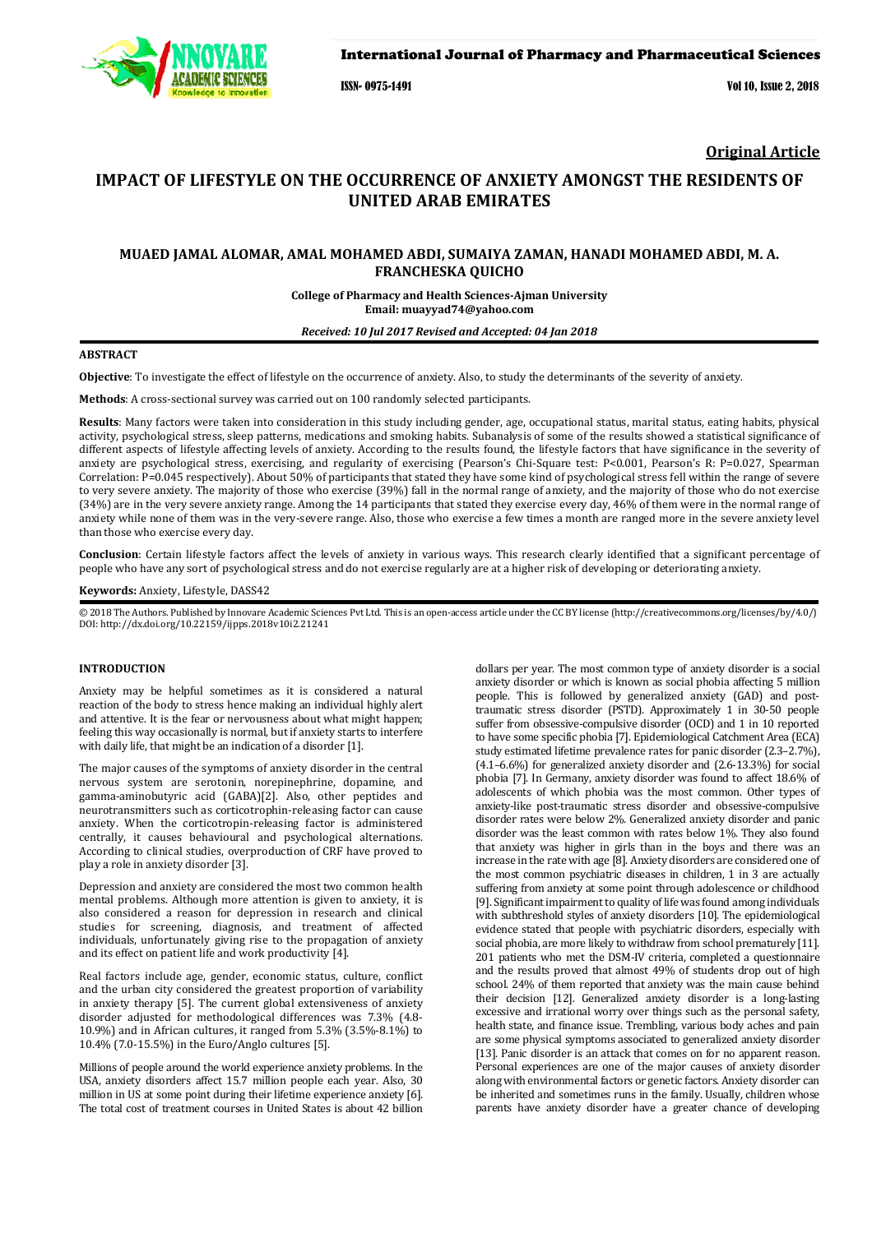

ISSN- 0975-1491 Vol 10, Issue 2, 2018

**Original Article** 

# **IMPACT OF LIFESTYLE ON THE OCCURRENCE OF ANXIETY AMONGST THE RESIDENTS OF UNITED ARAB EMIRATES**

## **MUAED JAMAL ALOMAR, AMAL MOHAMED ABDI, SUMAIYA ZAMAN, HANADI MOHAMED ABDI, M. A. FRANCHESKA QUICHO**

**College of Pharmacy and Health Sciences-Ajman University Email: muayyad74@yahoo.com** 

*Received: 10 Jul 2017 Revised and Accepted: 04 Jan 2018*

### **ABSTRACT**

**Objective**: To investigate the effect of lifestyle on the occurrence of anxiety. Also, to study the determinants of the severity of anxiety.

**Methods**: A cross-sectional survey was carried out on 100 randomly selected participants.

**Results**: Many factors were taken into consideration in this study including gender, age, occupational status, marital status, eating habits, physical activity, psychological stress, sleep patterns, medications and smoking habits. Subanalysis of some of the results showed a statistical significance of different aspects of lifestyle affecting levels of anxiety. According to the results found, the lifestyle factors that have significance in the severity of anxiety are psychological stress, exercising, and regularity of exercising (Pearson's Chi-Square test: P<0.001, Pearson's R: P=0.027, Spearman Correlation: P=0.045 respectively). About 50% of participants that stated they have some kind of psychological stress fell within the range of severe to very severe anxiety. The majority of those who exercise (39%) fall in the normal range of anxiety, and the majority of those who do not exercise (34%) are in the very severe anxiety range. Among the 14 participants that stated they exercise every day, 46% of them were in the normal range of anxiety while none of them was in the very-severe range. Also, those who exercise a few times a month are ranged more in the severe anxiety level than those who exercise every day.

**Conclusion**: Certain lifestyle factors affect the levels of anxiety in various ways. This research clearly identified that a significant percentage of people who have any sort of psychological stress and do not exercise regularly are at a higher risk of developing or deteriorating anxiety.

#### **Keywords:** Anxiety, Lifestyle, DASS42

© 2018 The Authors. Published by Innovare Academic Sciences Pvt Ltd. This is an open-access article under the CC BY license (http://creativecommons.org/licenses/by/4.0/) DOI: http://dx.doi.org/10.22159/ijpps.2018v10i2.21241

#### **INTRODUCTION**

Anxiety may be helpful sometimes as it is considered a natural reaction of the body to stress hence making an individual highly alert and attentive. It is the fear or nervousness about what might happen; feeling this way occasionally is normal, but if anxiety starts to interfere with daily life, that might be an indication of a disorder [1].

The major causes of the symptoms of anxiety disorder in the central nervous system are serotonin, norepinephrine, dopamine, and gamma-aminobutyric acid (GABA)[2]. Also, other peptides and neurotransmitters such as corticotrophin-releasing factor can cause anxiety. When the corticotropin-releasing factor is administered centrally, it causes behavioural and psychological alternations. According to clinical studies, overproduction of CRF have proved to play a role in anxiety disorder [3].

Depression and anxiety are considered the most two common health mental problems. Although more attention is given to anxiety, it is also considered a reason for depression in research and clinical studies for screening, diagnosis, and treatment of affected individuals, unfortunately giving rise to the propagation of anxiety and its effect on patient life and work productivity [4].

Real factors include age, gender, economic status, culture, conflict and the urban city considered the greatest proportion of variability in anxiety therapy [5]. The current global extensiveness of anxiety disorder adjusted for methodological differences was 7.3% (4.8- 10.9%) and in African cultures, it ranged from 5.3% (3.5%-8.1%) to 10.4% (7.0-15.5%) in the Euro/Anglo cultures [5].

Millions of people around the world experience anxiety problems. In the USA, anxiety disorders affect 15.7 million people each year. Also, 30 million in US at some point during their lifetime experience anxiety [6]. The total cost of treatment courses in United States is about 42 billion

dollars per year. The most common type of anxiety disorder is a social anxiety disorder or which is known as social phobia affecting 5 million people. This is followed by generalized anxiety (GAD) and posttraumatic stress disorder (PSTD). Approximately 1 in 30-50 people suffer from obsessive-compulsive disorder (OCD) and 1 in 10 reported to have some specific phobia [7]. Epidemiological Catchment Area (ECA) study estimated lifetime prevalence rates for panic disorder (2.3–2.7%), (4.1–6.6%) for generalized anxiety disorder and (2.6-13.3%) for social phobia [7]. In Germany, anxiety disorder was found to affect 18.6% of adolescents of which phobia was the most common. Other types of anxiety-like post-traumatic stress disorder and obsessive-compulsive disorder rates were below 2%. Generalized anxiety disorder and panic disorder was the least common with rates below 1%. They also found that anxiety was higher in girls than in the boys and there was an increase in the rate with age [8]. Anxiety disorders are considered one of the most common psychiatric diseases in children, 1 in 3 are actually suffering from anxiety at some point through adolescence or childhood [9]. Significant impairment to quality of life was found among individuals with subthreshold styles of anxiety disorders [10]. The epidemiological evidence stated that people with psychiatric disorders, especially with social phobia, are more likely to withdraw from school prematurely [11]. 201 patients who met the DSM-IV criteria, completed a questionnaire and the results proved that almost 49% of students drop out of high school. 24% of them reported that anxiety was the main cause behind their decision [12]. Generalized anxiety disorder is a long-lasting excessive and irrational worry over things such as the personal safety, health state, and finance issue. Trembling, various body aches and pain are some physical symptoms associated to generalized anxiety disorder [13]. Panic disorder is an attack that comes on for no apparent reason. Personal experiences are one of the major causes of anxiety disorder along with environmental factors or genetic factors. Anxiety disorder can be inherited and sometimes runs in the family. Usually, children whose parents have anxiety disorder have a greater chance of developing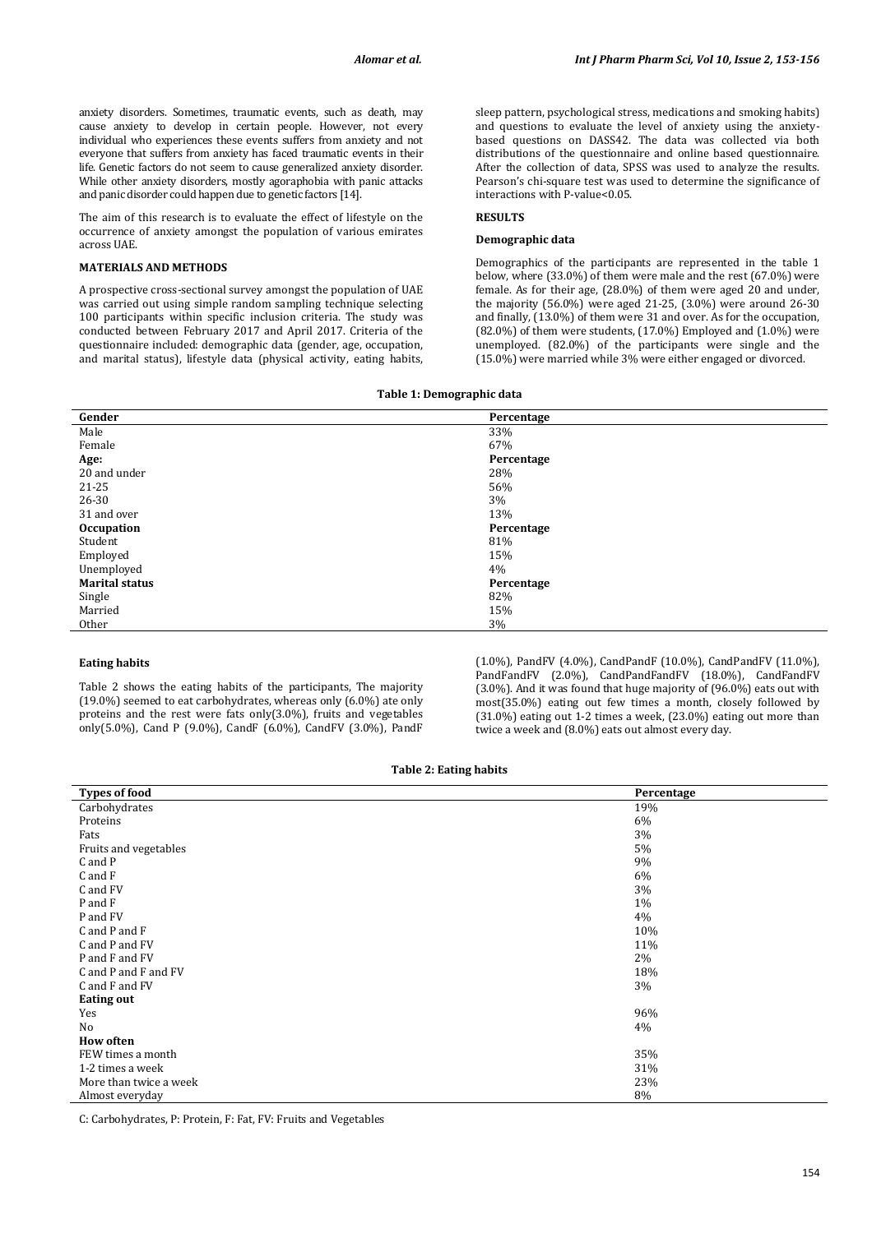anxiety disorders. Sometimes, traumatic events, such as death, may cause anxiety to develop in certain people. However, not every individual who experiences these events suffers from anxiety and not everyone that suffers from anxiety has faced traumatic events in their life. Genetic factors do not seem to cause generalized anxiety disorder. While other anxiety disorders, mostly agoraphobia with panic attacks and panic disorder could happen due to genetic factors [14].

The aim of this research is to evaluate the effect of lifestyle on the occurrence of anxiety amongst the population of various emirates across UAE.

### **MATERIALS AND METHODS**

A prospective cross-sectional survey amongst the population of UAE was carried out using simple random sampling technique selecting 100 participants within specific inclusion criteria. The study was conducted between February 2017 and April 2017. Criteria of the questionnaire included: demographic data (gender, age, occupation, and marital status), lifestyle data (physical activity, eating habits,

sleep pattern, psychological stress, medications and smoking habits) and questions to evaluate the level of anxiety using the anxietybased questions on DASS42. The data was collected via both distributions of the questionnaire and online based questionnaire. After the collection of data, SPSS was used to analyze the results. Pearson's chi-square test was used to determine the significance of interactions with P-value<0.05.

### **RESULTS**

### **Demographic data**

Demographics of the participants are represented in the table 1 below, where (33.0%) of them were male and the rest (67.0%) were female. As for their age, (28.0%) of them were aged 20 and under, the majority (56.0%) were aged 21-25, (3.0%) were around 26-30 and finally, (13.0%) of them were 31 and over. As for the occupation, (82.0%) of them were students, (17.0%) Employed and (1.0%) were unemployed. (82.0%) of the participants were single and the (15.0%) were married while 3% were either engaged or divorced.

#### **Table 1: Demographic data**

| Gender                | Percentage |
|-----------------------|------------|
| Male                  | 33%        |
| Female                | 67%        |
| Age:                  | Percentage |
| 20 and under          | 28%        |
| 21-25                 | 56%        |
| 26-30                 | 3%         |
| 31 and over           | 13%        |
| <b>Occupation</b>     | Percentage |
| Student               | 81%        |
| Employed              | 15%        |
| Unemployed            | 4%         |
| <b>Marital status</b> | Percentage |
| Single                | 82%        |
| Married               | 15%        |
| Other                 | 3%         |

### **Eating habits**

Table 2 shows the eating habits of the participants, The majority (19.0%) seemed to eat carbohydrates, whereas only (6.0%) ate only proteins and the rest were fats only(3.0%), fruits and vegetables only(5.0%), Cand P (9.0%), CandF (6.0%), CandFV (3.0%), PandF (1.0%), PandFV (4.0%), CandPandF (10.0%), CandPandFV (11.0%), PandFandFV (2.0%), CandPandFandFV (18.0%), CandFandFV (3.0%). And it was found that huge majority of (96.0%) eats out with most(35.0%) eating out few times a month, closely followed by (31.0%) eating out 1-2 times a week, (23.0%) eating out more than twice a week and (8.0%) eats out almost every day.

| Table 2: Eating habits |  |  |
|------------------------|--|--|
|------------------------|--|--|

| <b>Types of food</b>   | Percentage |
|------------------------|------------|
| Carbohydrates          | 19%        |
| Proteins               | 6%         |
| Fats                   | 3%         |
| Fruits and vegetables  | 5%         |
| C and P                | 9%         |
| C and F                | 6%         |
| C and FV               | 3%         |
| P and F                | 1%         |
| P and FV               | 4%         |
| C and P and F          | 10%        |
| C and P and FV         | 11%        |
| P and F and FV         | 2%         |
| C and P and F and FV   | 18%        |
| C and F and FV         | 3%         |
| <b>Eating out</b>      |            |
| Yes                    | 96%        |
| No                     | 4%         |
| <b>How often</b>       |            |
| FEW times a month      | 35%        |
| 1-2 times a week       | 31%        |
| More than twice a week | 23%        |
| Almost everyday        | 8%         |

C: Carbohydrates, P: Protein, F: Fat, FV: Fruits and Vegetables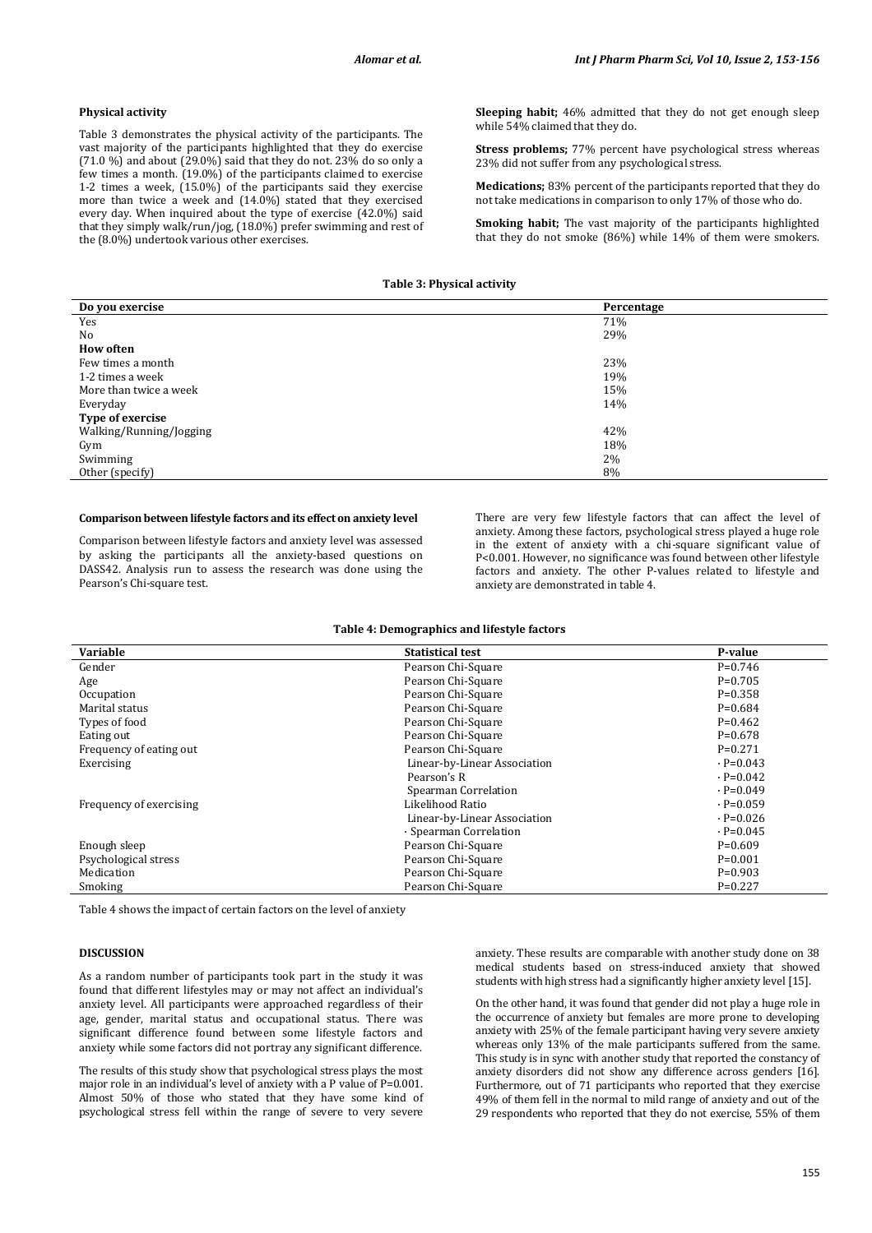#### **Physical activity**

Table 3 demonstrates the physical activity of the participants. The vast majority of the participants highlighted that they do exercise  $(71.0 \%)$  and about  $(29.0\%)$  said that they do not. 23% do so only a few times a month. (19.0%) of the participants claimed to exercise 1-2 times a week, (15.0%) of the participants said they exercise more than twice a week and (14.0%) stated that they exercised every day. When inquired about the type of exercise (42.0%) said that they simply walk/run/jog, (18.0%) prefer swimming and rest of the (8.0%) undertook various other exercises.

**Sleeping habit;** 46% admitted that they do not get enough sleep while 54% claimed that they do.

**Stress problems;** 77% percent have psychological stress whereas 23% did not suffer from any psychological stress.

**Medications;** 83% percent of the participants reported that they do not take medications in comparison to only 17% of those who do.

**Smoking habit;** The vast majority of the participants highlighted that they do not smoke (86%) while 14% of them were smokers.

### **Table 3: Physical activity**

| Do you exercise         | Percentage |
|-------------------------|------------|
| Yes                     | 71%        |
| No                      | 29%        |
| <b>How often</b>        |            |
| Few times a month       | 23%        |
| 1-2 times a week        | 19%        |
| More than twice a week  | 15%        |
| Everyday                | 14%        |
| Type of exercise        |            |
| Walking/Running/Jogging | 42%        |
| Gym                     | 18%        |
| Swimming                | 2%         |
| Other (specify)         | 8%         |

#### **Comparison between lifestyle factors and its effect on anxiety level**

Comparison between lifestyle factors and anxiety level was assessed by asking the participants all the anxiety-based questions on DASS42. Analysis run to assess the research was done using the Pearson's Chi-square test.

There are very few lifestyle factors that can affect the level of anxiety. Among these factors, psychological stress played a huge role in the extent of anxiety with a chi-square significant value of P<0.001. However, no significance was found between other lifestyle factors and anxiety. The other P-values related to lifestyle and anxiety are demonstrated in table 4.

#### **Table 4: Demographics and lifestyle factors**

| <b>Variable</b>         | <b>Statistical test</b>      | P-value         |
|-------------------------|------------------------------|-----------------|
| Gender                  | Pearson Chi-Square           | $P=0.746$       |
| Age                     | Pearson Chi-Square           | $P=0.705$       |
| Occupation              | Pearson Chi-Square           | $P=0.358$       |
| Marital status          | Pearson Chi-Square           | $P=0.684$       |
| Types of food           | Pearson Chi-Square           | $P=0.462$       |
| Eating out              | Pearson Chi-Square           | $P=0.678$       |
| Frequency of eating out | Pearson Chi-Square           | $P=0.271$       |
| Exercising              | Linear-by-Linear Association | $\cdot$ P=0.043 |
|                         | Pearson's R                  | $\cdot$ P=0.042 |
|                         | Spearman Correlation         | $\cdot$ P=0.049 |
| Frequency of exercising | Likelihood Ratio             | $\cdot$ P=0.059 |
|                         | Linear-by-Linear Association | $\cdot$ P=0.026 |
|                         | · Spearman Correlation       | $\cdot$ P=0.045 |
| Enough sleep            | Pearson Chi-Square           | $P=0.609$       |
| Psychological stress    | Pearson Chi-Square           | $P=0.001$       |
| Medication              | Pearson Chi-Square           | $P=0.903$       |
| Smoking                 | Pearson Chi-Square           | $P=0.227$       |

Table 4 shows the impact of certain factors on the level of anxiety

### **DISCUSSION**

As a random number of participants took part in the study it was found that different lifestyles may or may not affect an individual's anxiety level. All participants were approached regardless of their age, gender, marital status and occupational status. There was significant difference found between some lifestyle factors and anxiety while some factors did not portray any significant difference.

The results of this study show that psychological stress plays the most major role in an individual's level of anxiety with a P value of P=0.001. Almost 50% of those who stated that they have some kind of psychological stress fell within the range of severe to very severe

anxiety. These results are comparable with another study done on 38 medical students based on stress-induced anxiety that showed students with high stress had a significantly higher anxiety level [15].

On the other hand, it was found that gender did not play a huge role in the occurrence of anxiety but females are more prone to developing anxiety with 25% of the female participant having very severe anxiety whereas only 13% of the male participants suffered from the same. This study is in sync with another study that reported the constancy of anxiety disorders did not show any difference across genders [16]. Furthermore, out of 71 participants who reported that they exercise 49% of them fell in the normal to mild range of anxiety and out of the 29 respondents who reported that they do not exercise, 55% of them